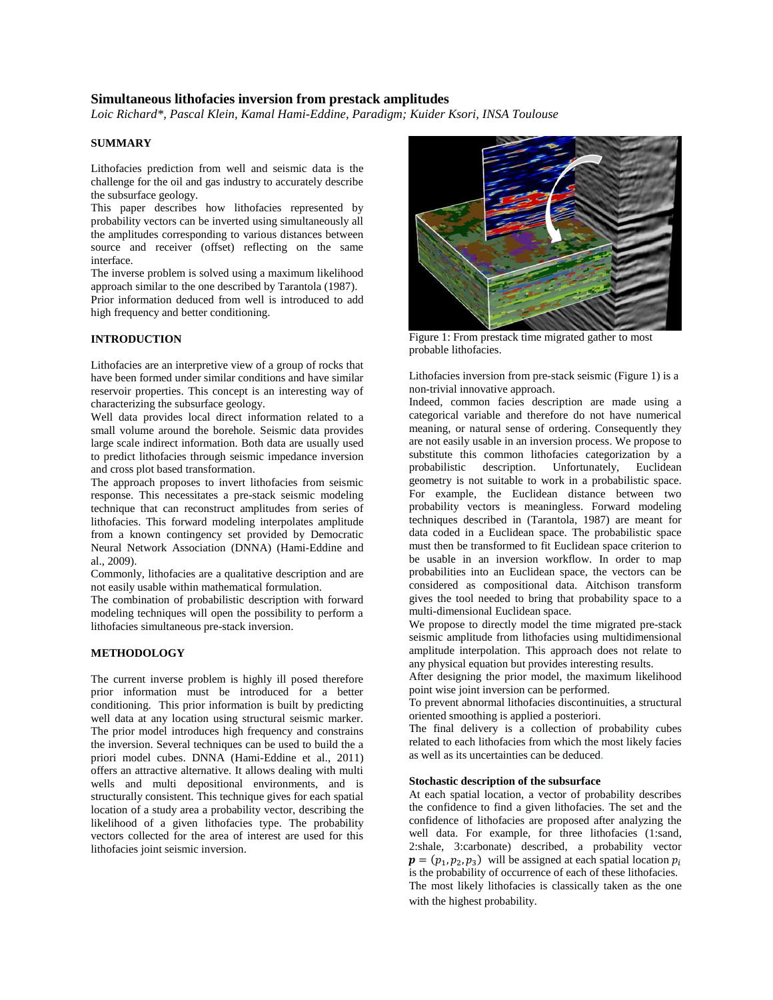## **Simultaneous lithofacies inversion from prestack amplitudes**

*Loic Richard\*, Pascal Klein, Kamal Hami-Eddine, Paradigm; Kuider Ksori, INSA Toulouse*

#### **SUMMARY**

Lithofacies prediction from well and seismic data is the challenge for the oil and gas industry to accurately describe the subsurface geology.

This paper describes how lithofacies represented by probability vectors can be inverted using simultaneously all the amplitudes corresponding to various distances between source and receiver (offset) reflecting on the same interface.

The inverse problem is solved using a maximum likelihood approach similar to the one described by Tarantola (1987). Prior information deduced from well is introduced to add high frequency and better conditioning.

## **INTRODUCTION**

Lithofacies are an interpretive view of a group of rocks that have been formed under similar conditions and have similar reservoir properties. This concept is an interesting way of characterizing the subsurface geology.

Well data provides local direct information related to a small volume around the borehole. Seismic data provides large scale indirect information. Both data are usually used to predict lithofacies through seismic impedance inversion and cross plot based transformation.

The approach proposes to invert lithofacies from seismic response. This necessitates a pre-stack seismic modeling technique that can reconstruct amplitudes from series of lithofacies. This forward modeling interpolates amplitude from a known contingency set provided by Democratic Neural Network Association (DNNA) (Hami-Eddine and al., 2009).

Commonly, lithofacies are a qualitative description and are not easily usable within mathematical formulation.

The combination of probabilistic description with forward modeling techniques will open the possibility to perform a lithofacies simultaneous pre-stack inversion.

## **METHODOLOGY**

The current inverse problem is highly ill posed therefore prior information must be introduced for a better conditioning. This prior information is built by predicting well data at any location using structural seismic marker. The prior model introduces high frequency and constrains the inversion. Several techniques can be used to build the a priori model cubes. DNNA (Hami-Eddine et al., 2011) offers an attractive alternative. It allows dealing with multi wells and multi depositional environments, and is structurally consistent. This technique gives for each spatial location of a study area a probability vector, describing the likelihood of a given lithofacies type. The probability vectors collected for the area of interest are used for this lithofacies joint seismic inversion.



Figure 1: From prestack time migrated gather to most probable lithofacies.

Lithofacies inversion from pre-stack seismic (Figure 1) is a non-trivial innovative approach.

Indeed, common facies description are made using a categorical variable and therefore do not have numerical meaning, or natural sense of ordering. Consequently they are not easily usable in an inversion process. We propose to substitute this common lithofacies categorization by a probabilistic description. Unfortunately, Euclidean geometry is not suitable to work in a probabilistic space. For example, the Euclidean distance between two probability vectors is meaningless. Forward modeling techniques described in (Tarantola, 1987) are meant for data coded in a Euclidean space. The probabilistic space must then be transformed to fit Euclidean space criterion to be usable in an inversion workflow. In order to map probabilities into an Euclidean space, the vectors can be considered as compositional data. Aitchison transform gives the tool needed to bring that probability space to a multi-dimensional Euclidean space.

We propose to directly model the time migrated pre-stack seismic amplitude from lithofacies using multidimensional amplitude interpolation. This approach does not relate to any physical equation but provides interesting results.

After designing the prior model, the maximum likelihood point wise joint inversion can be performed.

To prevent abnormal lithofacies discontinuities, a structural oriented smoothing is applied a posteriori.

The final delivery is a collection of probability cubes related to each lithofacies from which the most likely facies as well as its uncertainties can be deduced.

### **Stochastic description of the subsurface**

At each spatial location, a vector of probability describes the confidence to find a given lithofacies. The set and the confidence of lithofacies are proposed after analyzing the well data. For example, for three lithofacies (1:sand, 2:shale, 3:carbonate) described, a probability vector  $\mathbf{p} = (p_1, p_2, p_3)$  will be assigned at each spatial location p is the probability of occurrence of each of these lithofacies. The most likely lithofacies is classically taken as the one with the highest probability.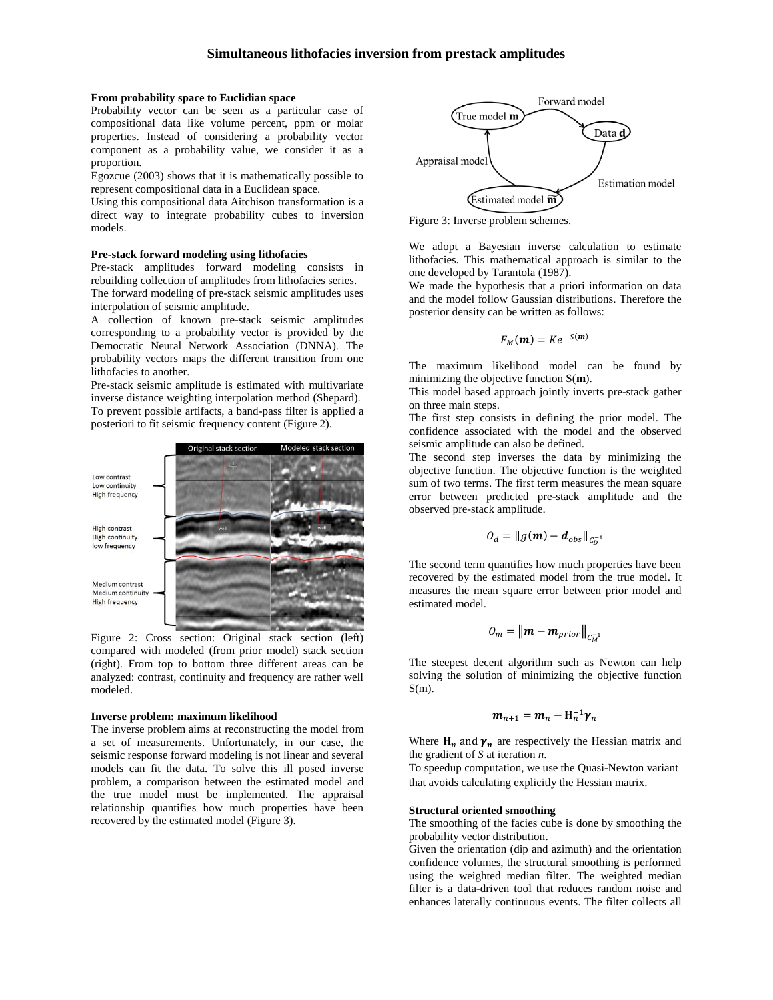## **From probability space to Euclidian space**

Probability vector can be seen as a particular case of compositional data like volume percent, ppm or molar properties. Instead of considering a probability vector component as a probability value, we consider it as a proportion.

Egozcue (2003) shows that it is mathematically possible to represent compositional data in a Euclidean space.

Using this compositional data Aitchison transformation is a direct way to integrate probability cubes to inversion models.

# **Pre-stack forward modeling using lithofacies**

Pre-stack amplitudes forward modeling consists in rebuilding collection of amplitudes from lithofacies series. The forward modeling of pre-stack seismic amplitudes uses interpolation of seismic amplitude.

A collection of known pre-stack seismic amplitudes corresponding to a probability vector is provided by the Democratic Neural Network Association (DNNA). The probability vectors maps the different transition from one lithofacies to another.

Pre-stack seismic amplitude is estimated with multivariate inverse distance weighting interpolation method (Shepard). To prevent possible artifacts, a band-pass filter is applied a posteriori to fit seismic frequency content (Figure 2).



Figure 2: Cross section: Original stack section (left) compared with modeled (from prior model) stack section (right). From top to bottom three different areas can be analyzed: contrast, continuity and frequency are rather well modeled.

#### **Inverse problem: maximum likelihood**

The inverse problem aims at reconstructing the model from a set of measurements. Unfortunately, in our case, the seismic response forward modeling is not linear and several models can fit the data. To solve this ill posed inverse problem, a comparison between the estimated model and the true model must be implemented. The appraisal relationship quantifies how much properties have been recovered by the estimated model (Figure 3).



Figure 3: Inverse problem schemes.

We adopt a Bayesian inverse calculation to estimate lithofacies. This mathematical approach is similar to the one developed by Tarantola (1987).

We made the hypothesis that a priori information on data and the model follow Gaussian distributions. Therefore the posterior density can be written as follows:

$$
F_M(\mathbf{m}) = Ke^{-S(\mathbf{m})}
$$

The maximum likelihood model can be found by minimizing the objective function S(**m**).

This model based approach jointly inverts pre-stack gather on three main steps.

The first step consists in defining the prior model. The confidence associated with the model and the observed seismic amplitude can also be defined.

The second step inverses the data by minimizing the objective function. The objective function is the weighted sum of two terms. The first term measures the mean square error between predicted pre-stack amplitude and the observed pre-stack amplitude.

$$
O_d = \|g(m) - d_{obs}\|_{C_D^{-1}}
$$

The second term quantifies how much properties have been recovered by the estimated model from the true model. It measures the mean square error between prior model and estimated model.

$$
\mathcal{O}_m = \left\| \boldsymbol{m} - \boldsymbol{m}_{prior} \right\|_{\mathcal{C}_M^{-1}}
$$

The steepest decent algorithm such as Newton can help solving the solution of minimizing the objective function  $S(m)$ .

$$
\mathbf{m}_{n+1} = \mathbf{m}_n - \mathbf{H}_n^{-1} \boldsymbol{\gamma}_n
$$

Where  $H_n$  and  $\gamma_n$  are respectively the Hessian matrix and the gradient of *S* at iteration *n*.

To speedup computation, we use the Quasi-Newton variant that avoids calculating explicitly the Hessian matrix.

### **Structural oriented smoothing**

The smoothing of the facies cube is done by smoothing the probability vector distribution.

Given the orientation (dip and azimuth) and the orientation confidence volumes, the structural smoothing is performed using the weighted median filter. The weighted median filter is a data-driven tool that reduces random noise and enhances laterally continuous events. The filter collects all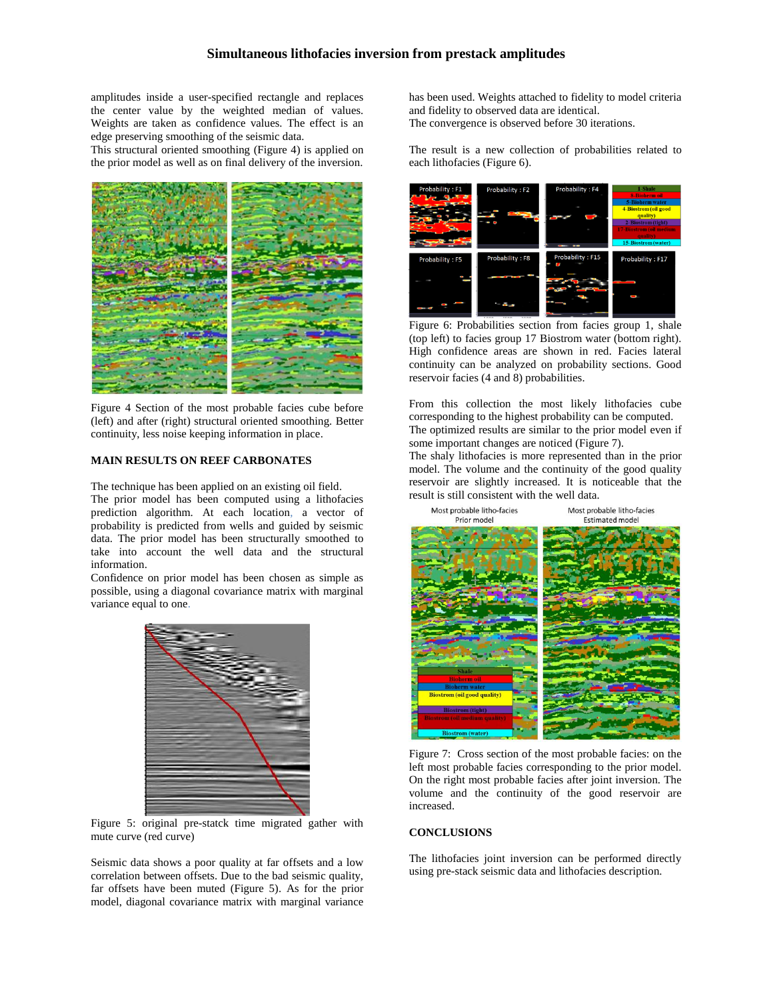amplitudes inside a user-specified rectangle and replaces the center value by the weighted median of values. Weights are taken as confidence values. The effect is an edge preserving smoothing of the seismic data.

This structural oriented smoothing (Figure 4) is applied on the prior model as well as on final delivery of the inversion.



Figure 4 Section of the most probable facies cube before (left) and after (right) structural oriented smoothing. Better continuity, less noise keeping information in place.

## **MAIN RESULTS ON REEF CARBONATES**

The technique has been applied on an existing oil field. The prior model has been computed using a lithofacies prediction algorithm. At each location, a vector of probability is predicted from wells and guided by seismic data. The prior model has been structurally smoothed to take into account the well data and the structural information.

Confidence on prior model has been chosen as simple as possible, using a diagonal covariance matrix with marginal variance equal to one.



Figure 5: original pre-statck time migrated gather with mute curve (red curve)

Seismic data shows a poor quality at far offsets and a low correlation between offsets. Due to the bad seismic quality, far offsets have been muted (Figure 5). As for the prior model, diagonal covariance matrix with marginal variance has been used. Weights attached to fidelity to model criteria and fidelity to observed data are identical. The convergence is observed before 30 iterations.

The result is a new collection of probabilities related to each lithofacies (Figure 6).



Figure 6: Probabilities section from facies group 1, shale (top left) to facies group 17 Biostrom water (bottom right). High confidence areas are shown in red. Facies lateral continuity can be analyzed on probability sections. Good reservoir facies (4 and 8) probabilities.

From this collection the most likely lithofacies cube corresponding to the highest probability can be computed. The optimized results are similar to the prior model even if some important changes are noticed (Figure 7).

The shaly lithofacies is more represented than in the prior model. The volume and the continuity of the good quality reservoir are slightly increased. It is noticeable that the result is still consistent with the well data.



Figure 7: Cross section of the most probable facies: on the left most probable facies corresponding to the prior model. On the right most probable facies after joint inversion. The volume and the continuity of the good reservoir are increased.

## **CONCLUSIONS**

The lithofacies joint inversion can be performed directly using pre-stack seismic data and lithofacies description.